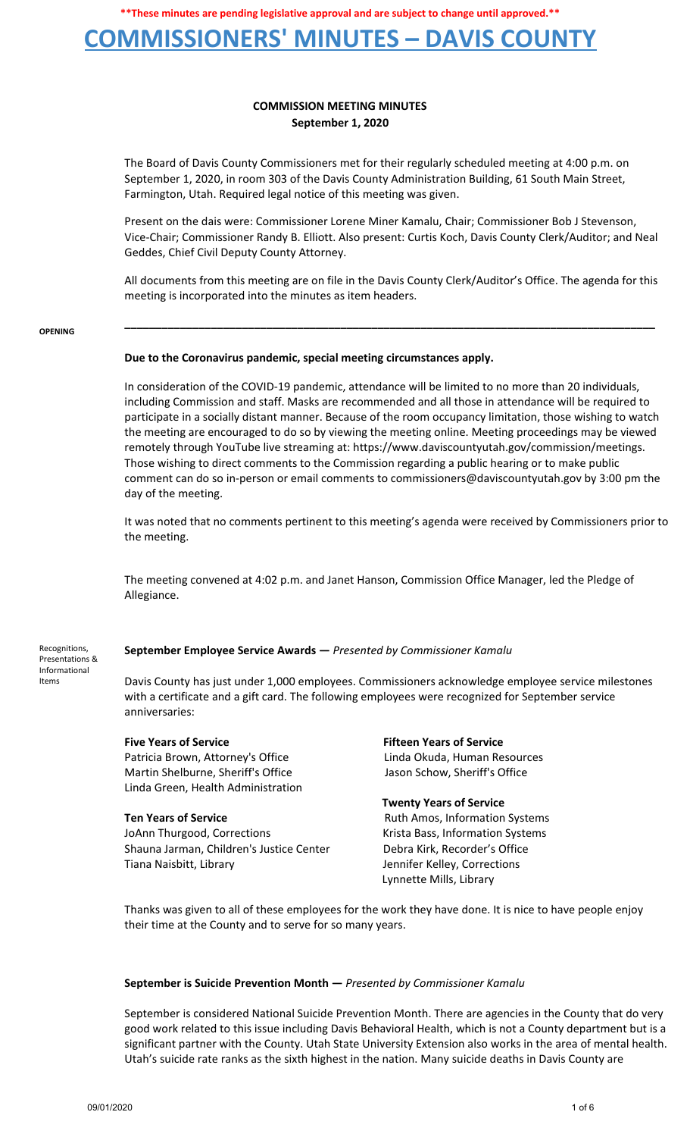# **COMMISSIONERS' MINUTES – DAVIS COUNTY**

## **COMMISSION MEETING MINUTES September 1, 2020**

The Board of Davis County Commissioners met for their regularly scheduled meeting at 4:00 p.m. on September 1, 2020, in room 303 of the Davis County Administration Building, 61 South Main Street, Farmington, Utah. Required legal notice of this meeting was given.

Present on the dais were: Commissioner Lorene Miner Kamalu, Chair; Commissioner Bob J Stevenson, Vice-Chair; Commissioner Randy B. Elliott. Also present: Curtis Koch, Davis County Clerk/Auditor; and Neal Geddes, Chief Civil Deputy County Attorney.

All documents from this meeting are on file in the Davis County Clerk/Auditor's Office. The agenda for this meeting is incorporated into the minutes as item headers.

**\_\_\_\_\_\_\_\_\_\_\_\_\_\_\_\_\_\_\_\_\_\_\_\_\_\_\_\_\_\_\_\_\_\_\_\_\_\_\_\_\_\_\_\_\_\_\_\_\_\_\_\_\_\_\_\_\_\_\_\_\_\_\_\_\_\_\_\_\_\_\_\_\_\_\_\_\_\_\_\_\_\_\_\_\_\_**

#### **OPENING**

### **Due to the Coronavirus pandemic, special meeting circumstances apply.**

In consideration of the COVID-19 pandemic, attendance will be limited to no more than 20 individuals, including Commission and staff. Masks are recommended and all those in attendance will be required to participate in a socially distant manner. Because of the room occupancy limitation, those wishing to watch the meeting are encouraged to do so by viewing the meeting online. Meeting proceedings may be viewed remotely through YouTube live streaming at: https://www.daviscountyutah.gov/commission/meetings. Those wishing to direct comments to the Commission regarding a public hearing or to make public comment can do so in-person or email comments to commissioners@daviscountyutah.gov by 3:00 pm the day of the meeting.

It was noted that no comments pertinent to this meeting's agenda were received by Commissioners prior to the meeting.

The meeting convened at 4:02 p.m. and Janet Hanson, Commission Office Manager, led the Pledge of Allegiance.

### **September Employee Service Awards —** *Presented by Commissioner Kamalu*

Recognitions, Presentations & Informational Items

Davis County has just under 1,000 employees. Commissioners acknowledge employee service milestones with a certificate and a gift card. The following employees were recognized for September service anniversaries:

Patricia Brown, Attorney's Office Linda Okuda, Human Resources Martin Shelburne, Sheriff's Office Jason Schow, Sheriff's Office Linda Green, Health Administration

JoAnn Thurgood, Corrections The Content of Krista Bass, Information Systems Shauna Jarman, Children's Justice Center Debra Kirk, Recorder's Office Tiana Naisbitt, Library Jennifer Kelley, Corrections

**Five Years of Service Fifteen Years of Service**

**Twenty Years of Service Ten Years of Service** Mate Amos, Information Systems Lynnette Mills, Library

Thanks was given to all of these employees for the work they have done. It is nice to have people enjoy their time at the County and to serve for so many years.

### **September is Suicide Prevention Month —** *Presented by Commissioner Kamalu*

September is considered National Suicide Prevention Month. There are agencies in the County that do very good work related to this issue including Davis Behavioral Health, which is not a County department but is a significant partner with the County. Utah State University Extension also works in the area of mental health. Utah's suicide rate ranks as the sixth highest in the nation. Many suicide deaths in Davis County are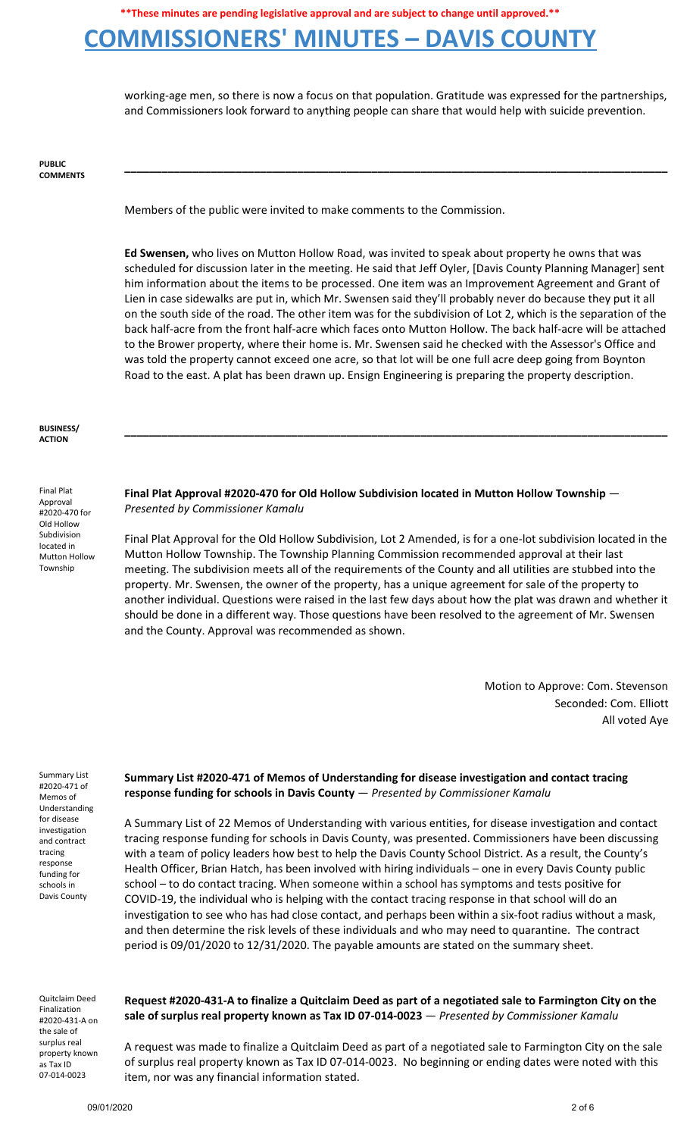# **COMMISSIONERS' MINUTES – DAVIS COUNTY**

working-age men, so there is now a focus on that population. Gratitude was expressed for the partnerships, and Commissioners look forward to anything people can share that would help with suicide prevention.

**\_\_\_\_\_\_\_\_\_\_\_\_\_\_\_\_\_\_\_\_\_\_\_\_\_\_\_\_\_\_\_\_\_\_\_\_\_\_\_\_\_\_\_\_\_\_\_\_\_\_\_\_\_\_\_\_\_\_\_\_\_\_\_\_\_\_\_\_\_\_\_\_\_\_\_\_\_\_\_\_\_\_\_\_\_\_\_\_**

**PUBLIC COMMENTS**

Members of the public were invited to make comments to the Commission.

**Ed Swensen,** who lives on Mutton Hollow Road, was invited to speak about property he owns that was scheduled for discussion later in the meeting. He said that Jeff Oyler, [Davis County Planning Manager] sent him information about the items to be processed. One item was an Improvement Agreement and Grant of Lien in case sidewalks are put in, which Mr. Swensen said they'll probably never do because they put it all on the south side of the road. The other item was for the subdivision of Lot 2, which is the separation of the back half-acre from the front half-acre which faces onto Mutton Hollow. The back half-acre will be attached to the Brower property, where their home is. Mr. Swensen said he checked with the Assessor's Office and was told the property cannot exceed one acre, so that lot will be one full acre deep going from Boynton Road to the east. A plat has been drawn up. Ensign Engineering is preparing the property description.

**\_\_\_\_\_\_\_\_\_\_\_\_\_\_\_\_\_\_\_\_\_\_\_\_\_\_\_\_\_\_\_\_\_\_\_\_\_\_\_\_\_\_\_\_\_\_\_\_\_\_\_\_\_\_\_\_\_\_\_\_\_\_\_\_\_\_\_\_\_\_\_\_\_\_\_\_\_\_\_\_\_\_\_\_\_\_\_\_**

### **BUSINESS/ ACTION**

Final Plat Approval #2020-470 for Old Hollow Subdivision located in Mutton Hollow Township

**Final Plat Approval #2020-470 for Old Hollow Subdivision located in Mutton Hollow Township** — *Presented by Commissioner Kamalu*

Final Plat Approval for the Old Hollow Subdivision, Lot 2 Amended, is for a one-lot subdivision located in the Mutton Hollow Township. The Township Planning Commission recommended approval at their last meeting. The subdivision meets all of the requirements of the County and all utilities are stubbed into the property. Mr. Swensen, the owner of the property, has a unique agreement for sale of the property to another individual. Questions were raised in the last few days about how the plat was drawn and whether it should be done in a different way. Those questions have been resolved to the agreement of Mr. Swensen and the County. Approval was recommended as shown.

> Motion to Approve: Com. Stevenson Seconded: Com. Elliott All voted Aye

Summary List #2020-471 of Memos of Understanding for disease investigation and contract tracing response funding for schools in Davis County

## **Summary List #2020-471 of Memos of Understanding for disease investigation and contact tracing response funding for schools in Davis County** — *Presented by Commissioner Kamalu*

A Summary List of 22 Memos of Understanding with various entities, for disease investigation and contact tracing response funding for schools in Davis County, was presented. Commissioners have been discussing with a team of policy leaders how best to help the Davis County School District. As a result, the County's Health Officer, Brian Hatch, has been involved with hiring individuals – one in every Davis County public school – to do contact tracing. When someone within a school has symptoms and tests positive for COVID-19, the individual who is helping with the contact tracing response in that school will do an investigation to see who has had close contact, and perhaps been within a six-foot radius without a mask, and then determine the risk levels of these individuals and who may need to quarantine. The contract period is 09/01/2020 to 12/31/2020. The payable amounts are stated on the summary sheet.

Quitclaim Deed Finalization #2020-431-A on the sale of surplus real property known as Tax ID 07-014-0023

### Request #2020-431-A to finalize a Quitclaim Deed as part of a negotiated sale to Farmington City on the **sale of surplus real property known as Tax ID 07-014-0023** — *Presented by Commissioner Kamalu*

A request was made to finalize a Quitclaim Deed as part of a negotiated sale to Farmington City on the sale of surplus real property known as Tax ID 07-014-0023. No beginning or ending dates were noted with this item, nor was any financial information stated.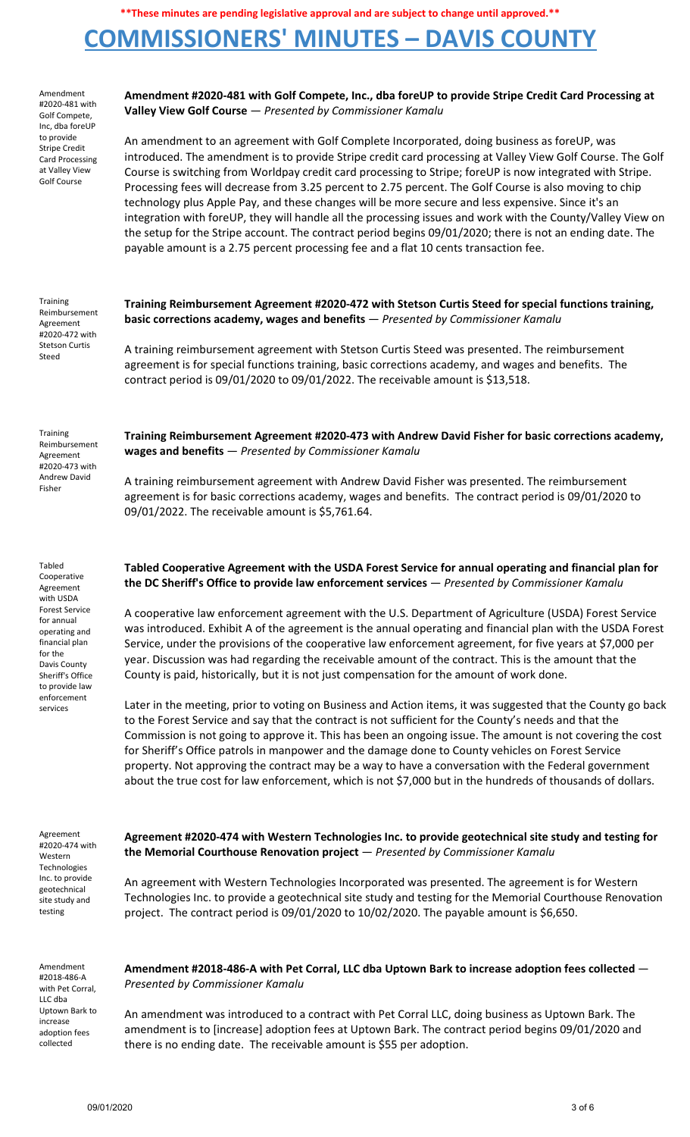# **COMMISSIONERS' MINUTES – DAVIS COUNTY**

| Amendment<br>#2020-481 with<br>Golf Compete,<br>Inc, dba foreUP                                                                                                                                                       | Amendment #2020-481 with Golf Compete, Inc., dba foreUP to provide Stripe Credit Card Processing at<br>Valley View Golf Course - Presented by Commissioner Kamalu                                                                                                                                                                                                                                                                                                                                                                                                                                                                                                                                                                                                                                                                                           |
|-----------------------------------------------------------------------------------------------------------------------------------------------------------------------------------------------------------------------|-------------------------------------------------------------------------------------------------------------------------------------------------------------------------------------------------------------------------------------------------------------------------------------------------------------------------------------------------------------------------------------------------------------------------------------------------------------------------------------------------------------------------------------------------------------------------------------------------------------------------------------------------------------------------------------------------------------------------------------------------------------------------------------------------------------------------------------------------------------|
| to provide<br><b>Stripe Credit</b><br><b>Card Processing</b><br>at Valley View<br><b>Golf Course</b>                                                                                                                  | An amendment to an agreement with Golf Complete Incorporated, doing business as foreUP, was<br>introduced. The amendment is to provide Stripe credit card processing at Valley View Golf Course. The Golf<br>Course is switching from Worldpay credit card processing to Stripe; foreUP is now integrated with Stripe.<br>Processing fees will decrease from 3.25 percent to 2.75 percent. The Golf Course is also moving to chip<br>technology plus Apple Pay, and these changes will be more secure and less expensive. Since it's an<br>integration with foreUP, they will handle all the processing issues and work with the County/Valley View on<br>the setup for the Stripe account. The contract period begins 09/01/2020; there is not an ending date. The<br>payable amount is a 2.75 percent processing fee and a flat 10 cents transaction fee. |
| Training<br>Reimbursement<br>Agreement<br>#2020-472 with<br><b>Stetson Curtis</b><br>Steed                                                                                                                            | Training Reimbursement Agreement #2020-472 with Stetson Curtis Steed for special functions training,<br>basic corrections academy, wages and benefits - Presented by Commissioner Kamalu                                                                                                                                                                                                                                                                                                                                                                                                                                                                                                                                                                                                                                                                    |
|                                                                                                                                                                                                                       | A training reimbursement agreement with Stetson Curtis Steed was presented. The reimbursement<br>agreement is for special functions training, basic corrections academy, and wages and benefits. The<br>contract period is 09/01/2020 to 09/01/2022. The receivable amount is \$13,518.                                                                                                                                                                                                                                                                                                                                                                                                                                                                                                                                                                     |
| Training<br>Reimbursement<br>Agreement<br>#2020-473 with<br>Andrew David<br>Fisher                                                                                                                                    | Training Reimbursement Agreement #2020-473 with Andrew David Fisher for basic corrections academy,<br>wages and benefits - Presented by Commissioner Kamalu                                                                                                                                                                                                                                                                                                                                                                                                                                                                                                                                                                                                                                                                                                 |
|                                                                                                                                                                                                                       | A training reimbursement agreement with Andrew David Fisher was presented. The reimbursement<br>agreement is for basic corrections academy, wages and benefits. The contract period is 09/01/2020 to<br>09/01/2022. The receivable amount is \$5,761.64.                                                                                                                                                                                                                                                                                                                                                                                                                                                                                                                                                                                                    |
| Tabled<br>Cooperative<br>Agreement<br>with USDA<br><b>Forest Service</b><br>for annual<br>operating and<br>financial plan<br>for the<br>Davis County<br>Sheriff's Office<br>to provide law<br>enforcement<br>services | Tabled Cooperative Agreement with the USDA Forest Service for annual operating and financial plan for<br>the DC Sheriff's Office to provide law enforcement services $-$ Presented by Commissioner Kamalu                                                                                                                                                                                                                                                                                                                                                                                                                                                                                                                                                                                                                                                   |
|                                                                                                                                                                                                                       | A cooperative law enforcement agreement with the U.S. Department of Agriculture (USDA) Forest Service<br>was introduced. Exhibit A of the agreement is the annual operating and financial plan with the USDA Forest<br>Service, under the provisions of the cooperative law enforcement agreement, for five years at \$7,000 per<br>year. Discussion was had regarding the receivable amount of the contract. This is the amount that the<br>County is paid, historically, but it is not just compensation for the amount of work done.                                                                                                                                                                                                                                                                                                                     |
|                                                                                                                                                                                                                       | Later in the meeting, prior to voting on Business and Action items, it was suggested that the County go back<br>to the Forest Service and say that the contract is not sufficient for the County's needs and that the<br>Commission is not going to approve it. This has been an ongoing issue. The amount is not covering the cost<br>for Sheriff's Office patrols in manpower and the damage done to County vehicles on Forest Service<br>property. Not approving the contract may be a way to have a conversation with the Federal government<br>about the true cost for law enforcement, which is not \$7,000 but in the hundreds of thousands of dollars.                                                                                                                                                                                              |
| Agreement<br>#2020-474 with<br>Western<br>Technologies<br>Inc. to provide<br>geotechnical<br>site study and<br>testing                                                                                                | Agreement #2020-474 with Western Technologies Inc. to provide geotechnical site study and testing for<br>the Memorial Courthouse Renovation project - Presented by Commissioner Kamalu                                                                                                                                                                                                                                                                                                                                                                                                                                                                                                                                                                                                                                                                      |
|                                                                                                                                                                                                                       | An agreement with Western Technologies Incorporated was presented. The agreement is for Western<br>Technologies Inc. to provide a geotechnical site study and testing for the Memorial Courthouse Renovation<br>project. The contract period is 09/01/2020 to 10/02/2020. The payable amount is \$6,650.                                                                                                                                                                                                                                                                                                                                                                                                                                                                                                                                                    |
| Amendment<br>#2018-486-A<br>with Pet Corral,<br>LLC dba<br>Uptown Bark to<br>increase<br>adoption fees<br>collected                                                                                                   | Amendment #2018-486-A with Pet Corral, LLC dba Uptown Bark to increase adoption fees collected -<br>Presented by Commissioner Kamalu                                                                                                                                                                                                                                                                                                                                                                                                                                                                                                                                                                                                                                                                                                                        |
|                                                                                                                                                                                                                       | An amendment was introduced to a contract with Pet Corral LLC, doing business as Uptown Bark. The<br>amendment is to [increase] adoption fees at Uptown Bark. The contract period begins 09/01/2020 and<br>there is no ending date. The receivable amount is \$55 per adoption.                                                                                                                                                                                                                                                                                                                                                                                                                                                                                                                                                                             |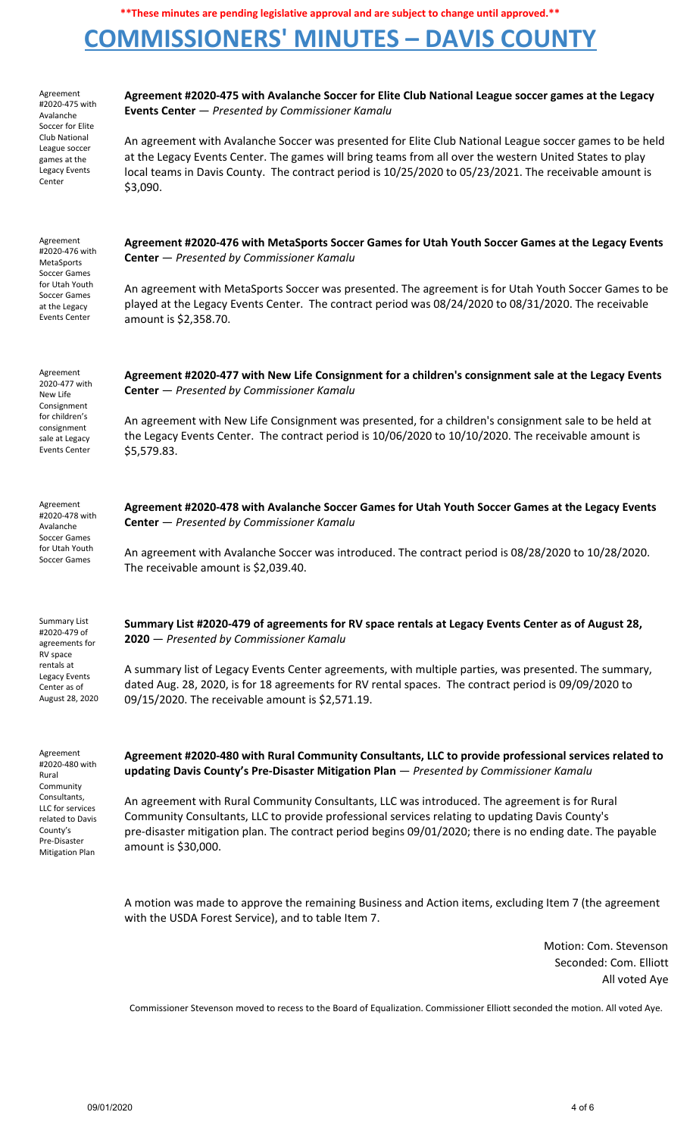# **COMMISSIONERS' MINUTES – DAVIS COUNTY**



Motion: Com. Stevenson Seconded: Com. Elliott All voted Aye

Commissioner Stevenson moved to recess to the Board of Equalization. Commissioner Elliott seconded the motion. All voted Aye.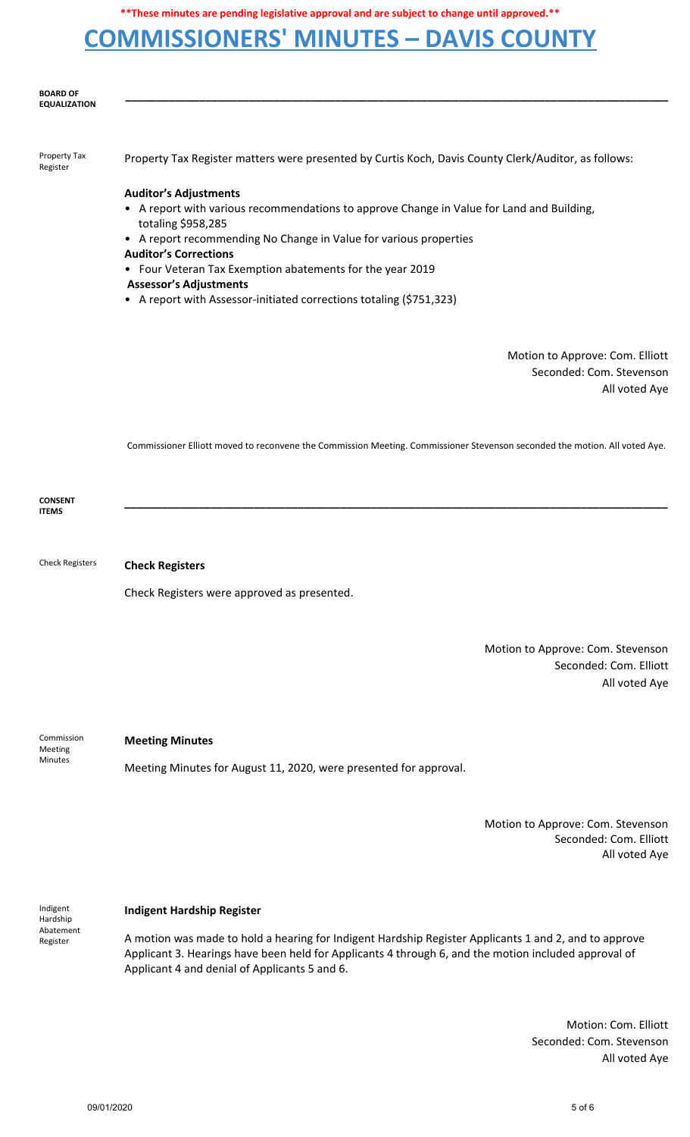# **COMMISSIONERS' MINUTES – DAVIS COUNTY**



Motion: Com. Elliott Seconded: Com. Stevenson All voted Aye